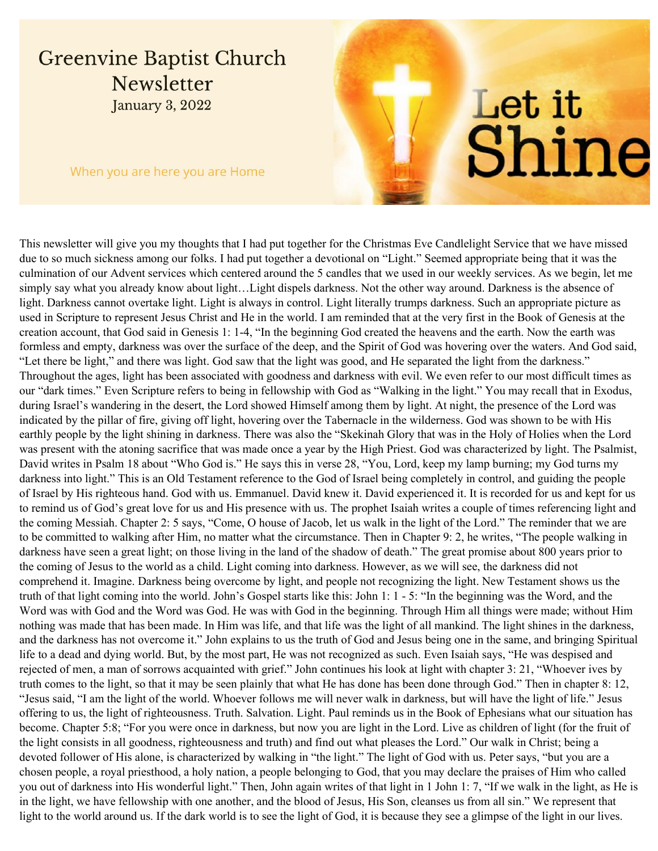## **Greenvine Baptist Church** Newsletter **January 3, 2022**

When you are here you are Home

# Let it Shine

This newsletter will give you my thoughts that I had put together for the Christmas Eve Candlelight Service that we have missed due to so much sickness among our folks. I had put together a devotional on "Light." Seemed appropriate being that it was the culmination of our Advent services which centered around the 5 candles that we used in our weekly services. As we begin, let me simply say what you already know about light…Light dispels darkness. Not the other way around. Darkness is the absence of light. Darkness cannot overtake light. Light is always in control. Light literally trumps darkness. Such an appropriate picture as used in Scripture to represent Jesus Christ and He in the world. I am reminded that at the very first in the Book of Genesis at the creation account, that God said in Genesis 1: 1-4, "In the beginning God created the heavens and the earth. Now the earth was formless and empty, darkness was over the surface of the deep, and the Spirit of God was hovering over the waters. And God said, "Let there be light," and there was light. God saw that the light was good, and He separated the light from the darkness." Throughout the ages, light has been associated with goodness and darkness with evil. We even refer to our most difficult times as our "dark times." Even Scripture refers to being in fellowship with God as "Walking in the light." You may recall that in Exodus, during Israel's wandering in the desert, the Lord showed Himself among them by light. At night, the presence of the Lord was indicated by the pillar of fire, giving off light, hovering over the Tabernacle in the wilderness. God was shown to be with His earthly people by the light shining in darkness. There was also the "Skekinah Glory that was in the Holy of Holies when the Lord was present with the atoning sacrifice that was made once a year by the High Priest. God was characterized by light. The Psalmist, David writes in Psalm 18 about "Who God is." He says this in verse 28, "You, Lord, keep my lamp burning; my God turns my darkness into light." This is an Old Testament reference to the God of Israel being completely in control, and guiding the people of Israel by His righteous hand. God with us. Emmanuel. David knew it. David experienced it. It is recorded for us and kept for us to remind us of God's great love for us and His presence with us. The prophet Isaiah writes a couple of times referencing light and the coming Messiah. Chapter 2: 5 says, "Come, O house of Jacob, let us walk in the light of the Lord." The reminder that we are to be committed to walking after Him, no matter what the circumstance. Then in Chapter 9: 2, he writes, "The people walking in darkness have seen a great light; on those living in the land of the shadow of death." The great promise about 800 years prior to the coming of Jesus to the world as a child. Light coming into darkness. However, as we will see, the darkness did not comprehend it. Imagine. Darkness being overcome by light, and people not recognizing the light. New Testament shows us the truth of that light coming into the world. John's Gospel starts like this: John 1: 1 - 5: "In the beginning was the Word, and the Word was with God and the Word was God. He was with God in the beginning. Through Him all things were made; without Him nothing was made that has been made. In Him was life, and that life was the light of all mankind. The light shines in the darkness, and the darkness has not overcome it." John explains to us the truth of God and Jesus being one in the same, and bringing Spiritual life to a dead and dying world. But, by the most part, He was not recognized as such. Even Isaiah says, "He was despised and rejected of men, a man of sorrows acquainted with grief." John continues his look at light with chapter 3: 21, "Whoever ives by truth comes to the light, so that it may be seen plainly that what He has done has been done through God." Then in chapter 8: 12, "Jesus said, "I am the light of the world. Whoever follows me will never walk in darkness, but will have the light of life." Jesus offering to us, the light of righteousness. Truth. Salvation. Light. Paul reminds us in the Book of Ephesians what our situation has become. Chapter 5:8; "For you were once in darkness, but now you are light in the Lord. Live as children of light (for the fruit of the light consists in all goodness, righteousness and truth) and find out what pleases the Lord." Our walk in Christ; being a devoted follower of His alone, is characterized by walking in "the light." The light of God with us. Peter says, "but you are a chosen people, a royal priesthood, a holy nation, a people belonging to God, that you may declare the praises of Him who called you out of darkness into His wonderful light." Then, John again writes of that light in 1 John 1: 7, "If we walk in the light, as He is in the light, we have fellowship with one another, and the blood of Jesus, His Son, cleanses us from all sin." We represent that light to the world around us. If the dark world is to see the light of God, it is because they see a glimpse of the light in our lives.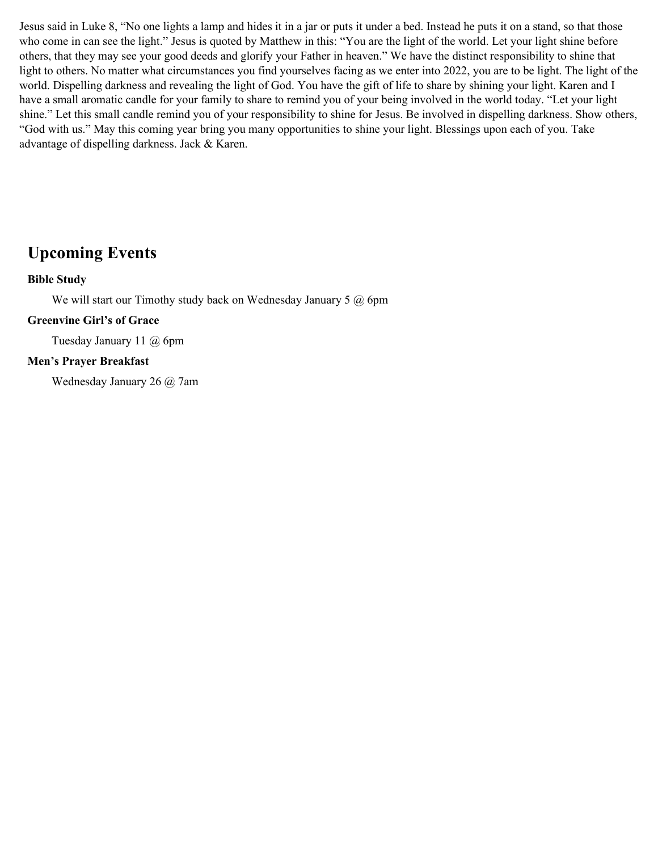Jesus said in Luke 8, "No one lights a lamp and hides it in a jar or puts it under a bed. Instead he puts it on a stand, so that those who come in can see the light." Jesus is quoted by Matthew in this: "You are the light of the world. Let your light shine before others, that they may see your good deeds and glorify your Father in heaven." We have the distinct responsibility to shine that light to others. No matter what circumstances you find yourselves facing as we enter into 2022, you are to be light. The light of the world. Dispelling darkness and revealing the light of God. You have the gift of life to share by shining your light. Karen and I have a small aromatic candle for your family to share to remind you of your being involved in the world today. "Let your light shine." Let this small candle remind you of your responsibility to shine for Jesus. Be involved in dispelling darkness. Show others, "God with us." May this coming year bring you many opportunities to shine your light. Blessings upon each of you. Take advantage of dispelling darkness. Jack & Karen.

### **Upcoming Events**

#### **Bible Study**

We will start our Timothy study back on Wednesday January 5 @ 6pm

#### **Greenvine Girl's of Grace**

Tuesday January 11 @ 6pm

#### **Men's Prayer Breakfast**

Wednesday January 26 @ 7am